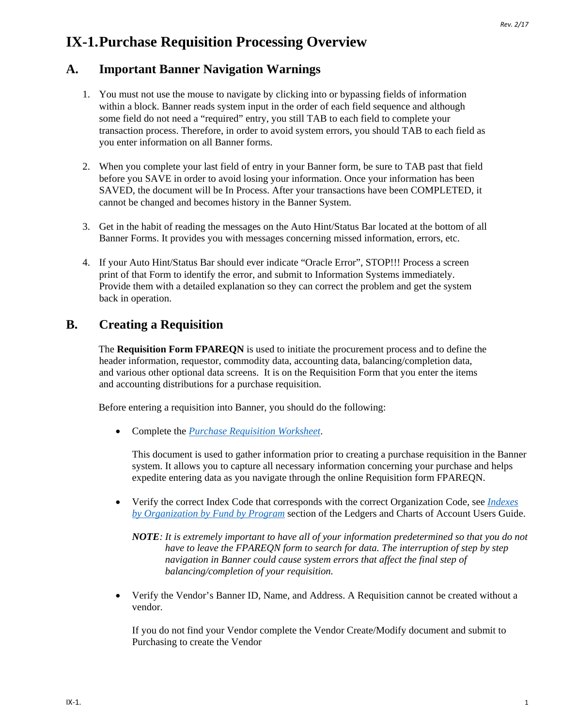# **IX-1.Purchase Requisition Processing Overview**

## **A. Important Banner Navigation Warnings**

- 1. You must not use the mouse to navigate by clicking into or bypassing fields of information within a block. Banner reads system input in the order of each field sequence and although some field do not need a "required" entry, you still TAB to each field to complete your transaction process. Therefore, in order to avoid system errors, you should TAB to each field as you enter information on all Banner forms.
- 2. When you complete your last field of entry in your Banner form, be sure to TAB past that field before you SAVE in order to avoid losing your information. Once your information has been SAVED, the document will be In Process. After your transactions have been COMPLETED, it cannot be changed and becomes history in the Banner System.
- 3. Get in the habit of reading the messages on the Auto Hint/Status Bar located at the bottom of all Banner Forms. It provides you with messages concerning missed information, errors, etc.
- 4. If your Auto Hint/Status Bar should ever indicate "Oracle Error", STOP!!! Process a screen print of that Form to identify the error, and submit to Information Systems immediately. Provide them with a detailed explanation so they can correct the problem and get the system back in operation.

## **B. Creating a Requisition**

The **Requisition Form FPAREQN** is used to initiate the procurement process and to define the header information, requestor, commodity data, accounting data, balancing/completion data, and various other optional data screens. It is on the Requisition Form that you enter the items and accounting distributions for a purchase requisition.

Before entering a requisition into Banner, you should do the following:

• Complete the *[Purchase Requisition Worksheet](http://businessaffairs.nsula.edu/assets/banner/User-Docs-Forms--Attachments/G.-Purchasing/8.-Banner-Requisition-Worksheet.pdf)*.

This document is used to gather information prior to creating a purchase requisition in the Banner system. It allows you to capture all necessary information concerning your purchase and helps expedite entering data as you navigate through the online Requisition form FPAREQN.

• Verify the correct Index Code that corresponds with the correct Organization Code, see *[Indexes](http://businessaffairs.nsula.edu/ii-banner-finance-ledgers-and-chart-of-accounts/)  [by Organization by Fund by Program](http://businessaffairs.nsula.edu/ii-banner-finance-ledgers-and-chart-of-accounts/)* section of the Ledgers and Charts of Account Users Guide.

*NOTE: It is extremely important to have all of your information predetermined so that you do not have to leave the FPAREQN form to search for data. The interruption of step by step navigation in Banner could cause system errors that affect the final step of balancing/completion of your requisition.*

• Verify the Vendor's Banner ID, Name, and Address. A Requisition cannot be created without a vendor.

If you do not find your Vendor complete the Vendor Create/Modify document and submit to Purchasing to create the Vendor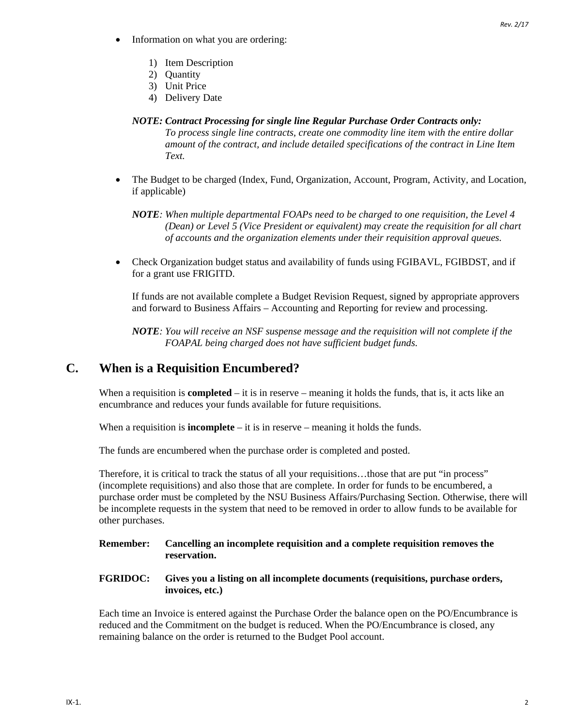- Information on what you are ordering:
	- 1) Item Description
	- 2) Quantity
	- 3) Unit Price
	- 4) Delivery Date

#### *NOTE: Contract Processing for single line Regular Purchase Order Contracts only: To process single line contracts, create one commodity line item with the entire dollar amount of the contract, and include detailed specifications of the contract in Line Item Text.*

• The Budget to be charged (Index, Fund, Organization, Account, Program, Activity, and Location, if applicable)

*NOTE: When multiple departmental FOAPs need to be charged to one requisition, the Level 4 (Dean) or Level 5 (Vice President or equivalent) may create the requisition for all chart of accounts and the organization elements under their requisition approval queues.*

• Check Organization budget status and availability of funds using FGIBAVL, FGIBDST, and if for a grant use FRIGITD.

If funds are not available complete a Budget Revision Request, signed by appropriate approvers and forward to Business Affairs – Accounting and Reporting for review and processing.

*NOTE: You will receive an NSF suspense message and the requisition will not complete if the FOAPAL being charged does not have sufficient budget funds.*

### **C. When is a Requisition Encumbered?**

When a requisition is **completed** – it is in reserve – meaning it holds the funds, that is, it acts like an encumbrance and reduces your funds available for future requisitions.

When a requisition is **incomplete** – it is in reserve – meaning it holds the funds.

The funds are encumbered when the purchase order is completed and posted.

Therefore, it is critical to track the status of all your requisitions…those that are put "in process" (incomplete requisitions) and also those that are complete. In order for funds to be encumbered, a purchase order must be completed by the NSU Business Affairs/Purchasing Section. Otherwise, there will be incomplete requests in the system that need to be removed in order to allow funds to be available for other purchases.

#### **Remember: Cancelling an incomplete requisition and a complete requisition removes the reservation.**

**FGRIDOC: Gives you a listing on all incomplete documents (requisitions, purchase orders, invoices, etc.)**

Each time an Invoice is entered against the Purchase Order the balance open on the PO/Encumbrance is reduced and the Commitment on the budget is reduced. When the PO/Encumbrance is closed, any remaining balance on the order is returned to the Budget Pool account.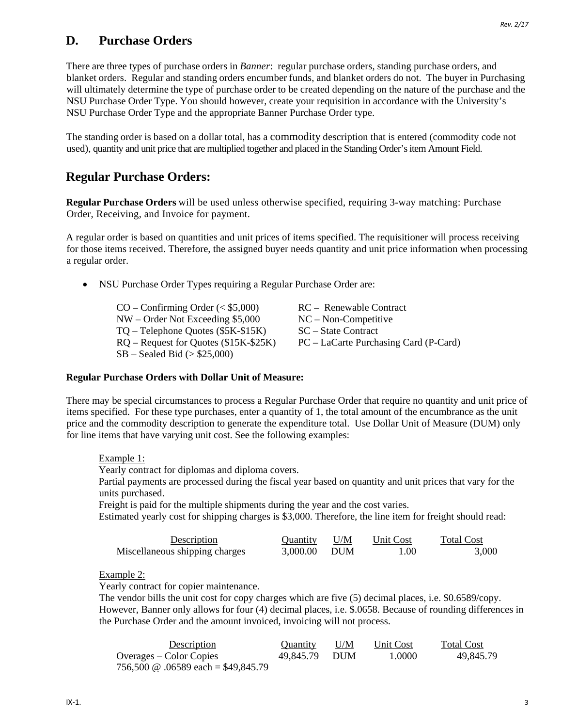### **D. Purchase Orders**

There are three types of purchase orders in *Banner*: regular purchase orders, standing purchase orders, and blanket orders. Regular and standing orders encumber funds, and blanket orders do not. The buyer in Purchasing will ultimately determine the type of purchase order to be created depending on the nature of the purchase and the NSU Purchase Order Type. You should however, create your requisition in accordance with the University's NSU Purchase Order Type and the appropriate Banner Purchase Order type.

The standing order is based on a dollar total, has a commodity description that is entered (commodity code not used), quantity and unit price that are multiplied together and placed in the Standing Order's item Amount Field.

### **Regular Purchase Orders:**

**Regular Purchase Orders** will be used unless otherwise specified, requiring 3-way matching: Purchase Order, Receiving, and Invoice for payment.

A regular order is based on quantities and unit prices of items specified. The requisitioner will process receiving for those items received. Therefore, the assigned buyer needs quantity and unit price information when processing a regular order.

• NSU Purchase Order Types requiring a Regular Purchase Order are:

CO – Confirming Order (< \$5,000) RC – Renewable Contract NW – Order Not Exceeding \$5,000 NC – Non-Competitive TO – Telephone Ouotes (\$5K-\$15K) SC – State Contract SB – Sealed Bid (> \$25,000)

RQ – Request for Quotes (\$15K-\$25K) PC – LaCarte Purchasing Card (P-Card)

#### **Regular Purchase Orders with Dollar Unit of Measure:**

There may be special circumstances to process a Regular Purchase Order that require no quantity and unit price of items specified. For these type purchases, enter a quantity of 1, the total amount of the encumbrance as the unit price and the commodity description to generate the expenditure total. Use Dollar Unit of Measure (DUM) only for line items that have varying unit cost. See the following examples:

Example 1: Yearly contract for diplomas and diploma covers. Partial payments are processed during the fiscal year based on quantity and unit prices that vary for the units purchased. Freight is paid for the multiple shipments during the year and the cost varies. Estimated yearly cost for shipping charges is \$3,000. Therefore, the line item for freight should read: Description Quantity U/M Unit Cost Total Cost Miscellaneous shipping charges 3,000.00 DUM 1.00 3,000

Example 2:

Yearly contract for copier maintenance.

The vendor bills the unit cost for copy charges which are five (5) decimal places, i.e. \$0.6589/copy. However, Banner only allows for four (4) decimal places, i.e. \$.0658. Because of rounding differences in the Purchase Order and the amount invoiced, invoicing will not process.

| Description                                | <b>Ouantity</b> | U/M | Unit Cost | <b>Total Cost</b> |
|--------------------------------------------|-----------------|-----|-----------|-------------------|
| Overages – Color Copies                    | 49.845.79 DUM   |     | 1.0000    | 49.845.79         |
| 756,500 $\omega$ .06589 each = \$49,845.79 |                 |     |           |                   |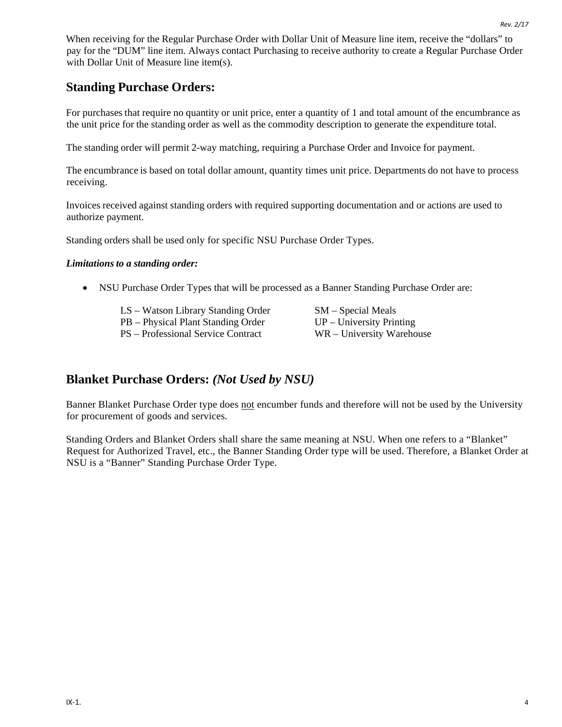When receiving for the Regular Purchase Order with Dollar Unit of Measure line item, receive the "dollars" to pay for the "DUM" line item. Always contact Purchasing to receive authority to create a Regular Purchase Order with Dollar Unit of Measure line item(s).

## **Standing Purchase Orders:**

For purchases that require no quantity or unit price, enter a quantity of 1 and total amount of the encumbrance as the unit price for the standing order as well as the commodity description to generate the expenditure total.

The standing order will permit 2-way matching, requiring a Purchase Order and Invoice for payment.

The encumbrance is based on total dollar amount, quantity times unit price. Departments do not have to process receiving.

Invoices received against standing orders with required supporting documentation and or actions are used to authorize payment.

Standing orders shall be used only for specific NSU Purchase Order Types.

#### *Limitations to a standing order:*

• NSU Purchase Order Types that will be processed as a Banner Standing Purchase Order are:

| LS – Watson Library Standing Order | $SM - Special Meals$       |
|------------------------------------|----------------------------|
| PB – Physical Plant Standing Order | $UP$ – University Printing |
| PS – Professional Service Contract | WR – University Warehouse  |

### **Blanket Purchase Orders:** *(Not Used by NSU)*

Banner Blanket Purchase Order type does not encumber funds and therefore will not be used by the University for procurement of goods and services.

Standing Orders and Blanket Orders shall share the same meaning at NSU. When one refers to a "Blanket" Request for Authorized Travel, etc., the Banner Standing Order type will be used. Therefore, a Blanket Order at NSU is a "Banner" Standing Purchase Order Type.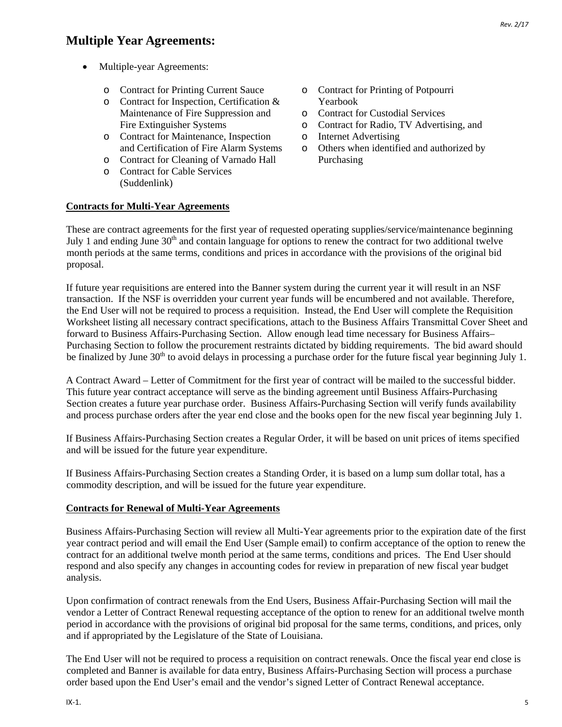## **Multiple Year Agreements:**

- Multiple-year Agreements:
	-
	- o Contract for Inspection, Certification & Yearbook<br>Maintenance of Fire Suppression and o Contract for Custodial Services Maintenance of Fire Suppression and<br>Fire Extinguisher Systems
	- o Contract for Maintenance, Inspection<br>and Certification of Fire Alarm Systems
	- o Contract for Cleaning of Varnado Hall
	- o Contract for Cable Services (Suddenlink)

### **Contracts for Multi-Year Agreements**

o Contract for Printing Current Sauce o Contract for Printing of Potpourri<br>
O Contract for Inspection, Certification & Yearbook

- 
- o Contract for Radio, TV Advertising, and<br>
o Internet Advertising
- 
- o Others when identified and authorized by<br>Purchasing

These are contract agreements for the first year of requested operating supplies/service/maintenance beginning July 1 and ending June  $30<sup>th</sup>$  and contain language for options to renew the contract for two additional twelve month periods at the same terms, conditions and prices in accordance with the provisions of the original bid proposal.

If future year requisitions are entered into the Banner system during the current year it will result in an NSF transaction. If the NSF is overridden your current year funds will be encumbered and not available. Therefore, the End User will not be required to process a requisition. Instead, the End User will complete the Requisition Worksheet listing all necessary contract specifications, attach to the Business Affairs Transmittal Cover Sheet and forward to Business Affairs-Purchasing Section. Allow enough lead time necessary for Business Affairs– Purchasing Section to follow the procurement restraints dictated by bidding requirements. The bid award should be finalized by June  $30<sup>th</sup>$  to avoid delays in processing a purchase order for the future fiscal year beginning July 1.

A Contract Award – Letter of Commitment for the first year of contract will be mailed to the successful bidder. This future year contract acceptance will serve as the binding agreement until Business Affairs-Purchasing Section creates a future year purchase order. Business Affairs-Purchasing Section will verify funds availability and process purchase orders after the year end close and the books open for the new fiscal year beginning July 1.

If Business Affairs-Purchasing Section creates a Regular Order, it will be based on unit prices of items specified and will be issued for the future year expenditure.

If Business Affairs-Purchasing Section creates a Standing Order, it is based on a lump sum dollar total, has a commodity description, and will be issued for the future year expenditure.

#### **Contracts for Renewal of Multi-Year Agreements**

Business Affairs-Purchasing Section will review all Multi-Year agreements prior to the expiration date of the first year contract period and will email the End User (Sample email) to confirm acceptance of the option to renew the contract for an additional twelve month period at the same terms, conditions and prices. The End User should respond and also specify any changes in accounting codes for review in preparation of new fiscal year budget analysis.

Upon confirmation of contract renewals from the End Users, Business Affair-Purchasing Section will mail the vendor a Letter of Contract Renewal requesting acceptance of the option to renew for an additional twelve month period in accordance with the provisions of original bid proposal for the same terms, conditions, and prices, only and if appropriated by the Legislature of the State of Louisiana.

The End User will not be required to process a requisition on contract renewals. Once the fiscal year end close is completed and Banner is available for data entry, Business Affairs-Purchasing Section will process a purchase order based upon the End User's email and the vendor's signed Letter of Contract Renewal acceptance.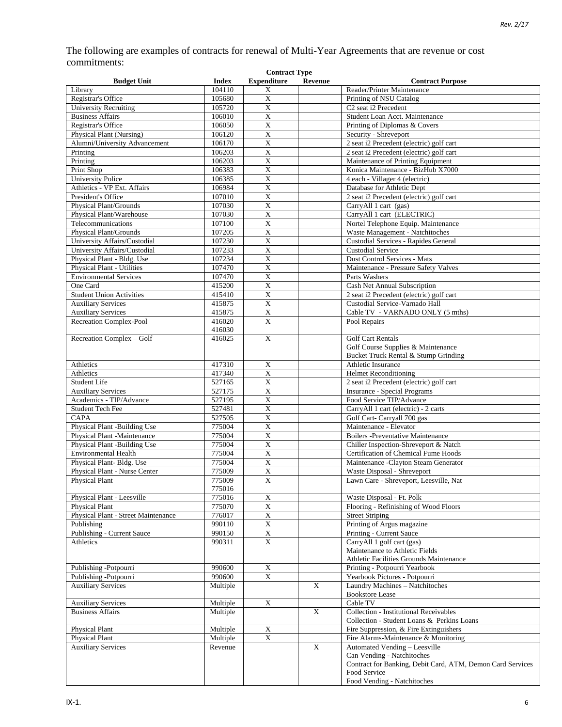The following are examples of contracts for renewal of Multi-Year Agreements that are revenue or cost commitments: **Contract Type**

| <b>Budget Unit</b>                                           | <b>Index</b>     | Contract Type<br><b>Expenditure</b>   | <b>Revenue</b> | <b>Contract Purpose</b>                                               |
|--------------------------------------------------------------|------------------|---------------------------------------|----------------|-----------------------------------------------------------------------|
| Library                                                      | 104110           | X                                     |                | Reader/Printer Maintenance                                            |
| Registrar's Office                                           | 105680           | $\overline{X}$                        |                | Printing of NSU Catalog                                               |
| <b>University Recruiting</b>                                 | 105720           | $\overline{\textbf{X}}$               |                | C <sub>2</sub> seat i <sub>2</sub> Precedent                          |
| <b>Business Affairs</b>                                      | 106010           | $\overline{X}$                        |                | Student Loan Acct. Maintenance                                        |
| Registrar's Office                                           | 106050           | $\overline{\text{X}}$                 |                | Printing of Diplomas & Covers                                         |
| Physical Plant (Nursing)                                     | 106120           | $\mathbf X$                           |                | Security - Shreveport                                                 |
| Alumni/University Advancement                                | 106170           | $\overline{\textbf{X}}$               |                | 2 seat i2 Precedent (electric) golf cart                              |
| Printing                                                     | 106203           | $\mathbf X$                           |                | 2 seat i2 Precedent (electric) golf cart                              |
| Printing                                                     | 106203           | $\bold{X}$                            |                | Maintenance of Printing Equipment                                     |
| Print Shop                                                   | 106383           | $\overline{X}$                        |                | Konica Maintenance - BizHub X7000                                     |
| <b>University Police</b>                                     | 106385           | $\mathbf X$                           |                | 4 each - Villager 4 (electric)                                        |
| Athletics - VP Ext. Affairs                                  | 106984           | $\overline{\textbf{X}}$               |                | Database for Athletic Dept                                            |
| President's Office                                           | 107010           | $\bold{X}$                            |                | 2 seat i2 Precedent (electric) golf cart                              |
| Physical Plant/Grounds                                       | 107030           | $\mathbf X$                           |                | CarryAll 1 cart (gas)                                                 |
| Physical Plant/Warehouse                                     | 107030           | $\overline{\text{X}}$                 |                | CarryAll 1 cart (ELECTRIC)                                            |
| Telecommunications                                           | 107100           | $\bold{X}$                            |                | Nortel Telephone Equip. Maintenance                                   |
| Physical Plant/Grounds                                       | 107205           | $\bold{X}$<br>$\overline{\text{X}}$   |                | Waste Management - Natchitoches                                       |
| University Affairs/Custodial<br>University Affairs/Custodial | 107230           | $\bold{X}$                            |                | Custodial Services - Rapides General<br><b>Custodial Service</b>      |
| Physical Plant - Bldg. Use                                   | 107233<br>107234 | $\bold{X}$                            |                | Dust Control Services - Mats                                          |
| Physical Plant - Utilities                                   | 107470           | $\overline{\mathbf{X}}$               |                | Maintenance - Pressure Safety Valves                                  |
| <b>Environmental Services</b>                                | 107470           | $\mathbf X$                           |                | Parts Washers                                                         |
| One Card                                                     | 415200           | $\overline{X}$                        |                | Cash Net Annual Subscription                                          |
| <b>Student Union Activities</b>                              | 415410           | $\mathbf X$                           |                | 2 seat i2 Precedent (electric) golf cart                              |
| <b>Auxiliary Services</b>                                    | 415875           | $\bold{X}$                            |                | Custodial Service-Varnado Hall                                        |
| <b>Auxiliary Services</b>                                    | 415875           | $\overline{X}$                        |                | Cable TV - VARNADO ONLY (5 mths)                                      |
| Recreation Complex-Pool                                      | 416020           | X                                     |                | Pool Repairs                                                          |
|                                                              | 416030           |                                       |                |                                                                       |
| Recreation Complex - Golf                                    | 416025           | X                                     |                | <b>Golf Cart Rentals</b>                                              |
|                                                              |                  |                                       |                | Golf Course Supplies & Maintenance                                    |
|                                                              |                  |                                       |                | Bucket Truck Rental & Stump Grinding                                  |
| Athletics                                                    | 417310           | $\mathbf X$                           |                | Athletic Insurance                                                    |
| Athletics                                                    | 417340           | $\overline{\text{X}}$                 |                | <b>Helmet Reconditioning</b>                                          |
| Student Life                                                 | 527165           | $\bold{X}$                            |                | 2 seat i2 Precedent (electric) golf cart                              |
| <b>Auxiliary Services</b>                                    | 527175           | $\bold{X}$                            |                | <b>Insurance - Special Programs</b>                                   |
| Academics - TIP/Advance                                      | 527195           | $\mathbf X$                           |                | Food Service TIP/Advance                                              |
| <b>Student Tech Fee</b>                                      | 527481           | $\mathbf X$                           |                | CarryAll 1 cart (electric) - 2 carts                                  |
| CAPA                                                         | 527505           | $\overline{X}$                        |                | Golf Cart- Carryall 700 gas                                           |
| Physical Plant -Building Use                                 | 775004           | $\mathbf X$                           |                | Maintenance - Elevator                                                |
| Physical Plant -Maintenance                                  | 775004           | $\overline{\textbf{X}}$               |                | <b>Boilers</b> -Preventative Maintenance                              |
| Physical Plant -Building Use<br><b>Environmental Health</b>  | 775004           | $\overline{X}$                        |                | Chiller Inspection-Shreveport & Natch                                 |
| Physical Plant-Bldg. Use                                     | 775004<br>775004 | $\mathbf X$<br>$\overline{\text{X}}$  |                | Certification of Chemical Fume Hoods                                  |
| Physical Plant - Nurse Center                                | 775009           | $\boldsymbol{\mathrm{X}}$             |                | Maintenance -Clayton Steam Generator<br>Waste Disposal - Shreveport   |
| Physical Plant                                               | 775009           | $\overline{X}$                        |                | Lawn Care - Shreveport, Leesville, Nat                                |
|                                                              | 775016           |                                       |                |                                                                       |
| Physical Plant - Leesville                                   | 775016           | $\mathbf X$                           |                | Waste Disposal - Ft. Polk                                             |
| Physical Plant                                               | 775070           | $\mathbf X$                           |                | Flooring - Refinishing of Wood Floors                                 |
| Physical Plant - Street Maintenance                          | 776017           | $\overline{\textbf{X}}$               |                | <b>Street Striping</b>                                                |
| Publishing                                                   | 990110           | $\overline{\textbf{X}}$               |                | Printing of Argus magazine                                            |
| Publishing - Current Sauce                                   | 990150           | $\overline{\textbf{X}}$               |                | Printing - Current Sauce                                              |
| Athletics                                                    | 990311           | $\mathbf X$                           |                | CarryAll 1 golf cart (gas)                                            |
|                                                              |                  |                                       |                | Maintenance to Athletic Fields                                        |
|                                                              |                  |                                       |                | Athletic Facilities Grounds Maintenance                               |
| Publishing -Potpourri                                        | 990600           | $\overline{\textbf{X}}$               |                | Printing - Potpourri Yearbook                                         |
| Publishing -Potpourri                                        | 990600           | $\overline{\text{X}}$                 |                | Yearbook Pictures - Potpourri                                         |
| <b>Auxiliary Services</b>                                    | Multiple         |                                       | X              | Laundry Machines - Natchitoches                                       |
|                                                              |                  |                                       |                | <b>Bookstore Lease</b>                                                |
| <b>Auxiliary Services</b>                                    | Multiple         | $\mathbf X$                           |                | Cable TV                                                              |
| <b>Business Affairs</b>                                      | Multiple         |                                       | $\mathbf X$    | <b>Collection - Institutional Receivables</b>                         |
|                                                              |                  |                                       |                | Collection - Student Loans & Perkins Loans                            |
| <b>Physical Plant</b>                                        | Multiple         | $\overline{\textbf{X}}$<br>$\bold{X}$ |                | Fire Suppression, & Fire Extinguishers                                |
| Physical Plant<br><b>Auxiliary Services</b>                  | Multiple         |                                       | X              | Fire Alarms-Maintenance & Monitoring<br>Automated Vending - Leesville |
|                                                              | Revenue          |                                       |                | Can Vending - Natchitoches                                            |
|                                                              |                  |                                       |                | Contract for Banking, Debit Card, ATM, Demon Card Services            |
|                                                              |                  |                                       |                | Food Service                                                          |
|                                                              |                  |                                       |                | Food Vending - Natchitoches                                           |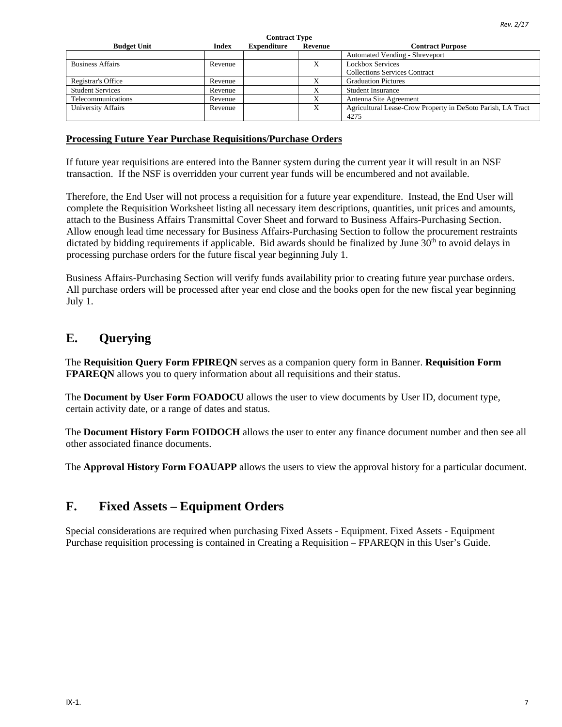*Rev. 2/17*

| <b>Budget Unit</b>        | <b>Index</b> | <b>Expenditure</b> | Revenue | <b>Contract Purpose</b>                                     |
|---------------------------|--------------|--------------------|---------|-------------------------------------------------------------|
|                           |              |                    |         | <b>Automated Vending - Shreveport</b>                       |
| <b>Business Affairs</b>   | Revenue      |                    | Х       | <b>Lockbox Services</b>                                     |
|                           |              |                    |         | <b>Collections Services Contract</b>                        |
| Registrar's Office        | Revenue      |                    |         | <b>Graduation Pictures</b>                                  |
| <b>Student Services</b>   | Revenue      |                    |         | <b>Student Insurance</b>                                    |
| Telecommunications        | Revenue      |                    |         | Antenna Site Agreement                                      |
| <b>University Affairs</b> | Revenue      |                    | X       | Agricultural Lease-Crow Property in DeSoto Parish, LA Tract |
|                           |              |                    |         | 4275                                                        |

**Contract Type**

### **Processing Future Year Purchase Requisitions/Purchase Orders**

If future year requisitions are entered into the Banner system during the current year it will result in an NSF transaction. If the NSF is overridden your current year funds will be encumbered and not available.

Therefore, the End User will not process a requisition for a future year expenditure. Instead, the End User will complete the Requisition Worksheet listing all necessary item descriptions, quantities, unit prices and amounts, attach to the Business Affairs Transmittal Cover Sheet and forward to Business Affairs-Purchasing Section. Allow enough lead time necessary for Business Affairs-Purchasing Section to follow the procurement restraints dictated by bidding requirements if applicable. Bid awards should be finalized by June  $30<sup>th</sup>$  to avoid delays in processing purchase orders for the future fiscal year beginning July 1.

Business Affairs-Purchasing Section will verify funds availability prior to creating future year purchase orders. All purchase orders will be processed after year end close and the books open for the new fiscal year beginning July 1.

### **E. Querying**

The **Requisition Query Form FPIREQN** serves as a companion query form in Banner. **Requisition Form FPAREQN** allows you to query information about all requisitions and their status.

The **Document by User Form FOADOCU** allows the user to view documents by User ID, document type, certain activity date, or a range of dates and status.

The **Document History Form FOIDOCH** allows the user to enter any finance document number and then see all other associated finance documents.

The **Approval History Form FOAUAPP** allows the users to view the approval history for a particular document.

## **F. Fixed Assets – Equipment Orders**

Special considerations are required when purchasing Fixed Assets - Equipment. Fixed Assets - Equipment Purchase requisition processing is contained in Creating a Requisition – FPAREQN in this User's Guide.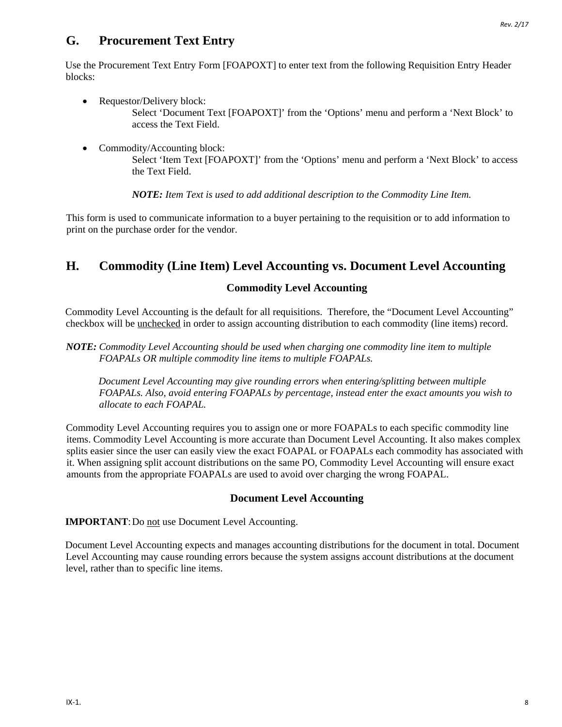### **G. Procurement Text Entry**

Use the Procurement Text Entry Form [FOAPOXT] to enter text from the following Requisition Entry Header blocks:

- Requestor/Delivery block: Select 'Document Text [FOAPOXT]' from the 'Options' menu and perform a 'Next Block' to access the Text Field.
- Commodity/Accounting block: Select 'Item Text [FOAPOXT]' from the 'Options' menu and perform a 'Next Block' to access the Text Field.

*NOTE: Item Text is used to add additional description to the Commodity Line Item.* 

This form is used to communicate information to a buyer pertaining to the requisition or to add information to print on the purchase order for the vendor.

### **H. Commodity (Line Item) Level Accounting vs. Document Level Accounting**

### **Commodity Level Accounting**

Commodity Level Accounting is the default for all requisitions. Therefore, the "Document Level Accounting" checkbox will be unchecked in order to assign accounting distribution to each commodity (line items) record.

*NOTE: Commodity Level Accounting should be used when charging one commodity line item to multiple FOAPALs OR multiple commodity line items to multiple FOAPALs.* 

*Document Level Accounting may give rounding errors when entering/splitting between multiple FOAPALs. Also, avoid entering FOAPALs by percentage, instead enter the exact amounts you wish to allocate to each FOAPAL.*

Commodity Level Accounting requires you to assign one or more FOAPALs to each specific commodity line items. Commodity Level Accounting is more accurate than Document Level Accounting. It also makes complex splits easier since the user can easily view the exact FOAPAL or FOAPALs each commodity has associated with it. When assigning split account distributions on the same PO, Commodity Level Accounting will ensure exact amounts from the appropriate FOAPALs are used to avoid over charging the wrong FOAPAL.

#### **Document Level Accounting**

**IMPORTANT:** Do not use Document Level Accounting.

Document Level Accounting expects and manages accounting distributions for the document in total. Document Level Accounting may cause rounding errors because the system assigns account distributions at the document level, rather than to specific line items.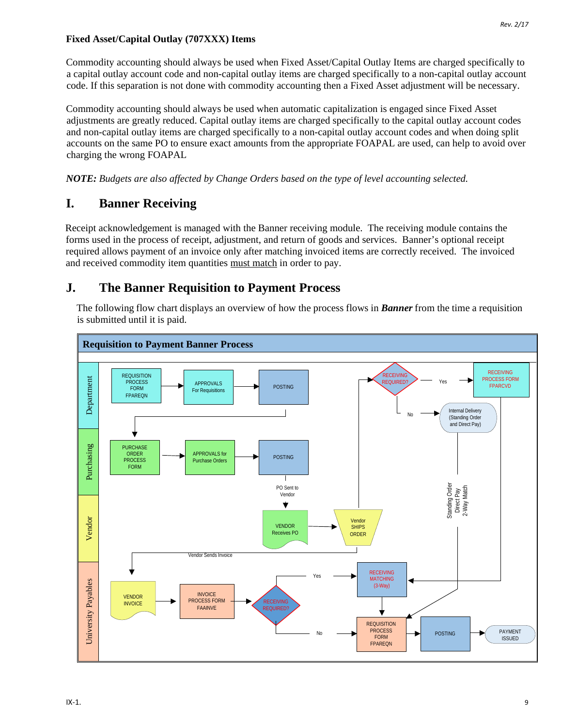#### **Fixed Asset/Capital Outlay (707XXX) Items**

Commodity accounting should always be used when Fixed Asset/Capital Outlay Items are charged specifically to a capital outlay account code and non-capital outlay items are charged specifically to a non-capital outlay account code. If this separation is not done with commodity accounting then a Fixed Asset adjustment will be necessary.

Commodity accounting should always be used when automatic capitalization is engaged since Fixed Asset adjustments are greatly reduced. Capital outlay items are charged specifically to the capital outlay account codes and non-capital outlay items are charged specifically to a non-capital outlay account codes and when doing split accounts on the same PO to ensure exact amounts from the appropriate FOAPAL are used, can help to avoid over charging the wrong FOAPAL

*NOTE: Budgets are also affected by Change Orders based on the type of level accounting selected.*

## **I. Banner Receiving**

Receipt acknowledgement is managed with the Banner receiving module. The receiving module contains the forms used in the process of receipt, adjustment, and return of goods and services. Banner's optional receipt required allows payment of an invoice only after matching invoiced items are correctly received. The invoiced and received commodity item quantities must match in order to pay.

### **J. The Banner Requisition to Payment Process**

The following flow chart displays an overview of how the process flows in *Banner* from the time a requisition is submitted until it is paid.

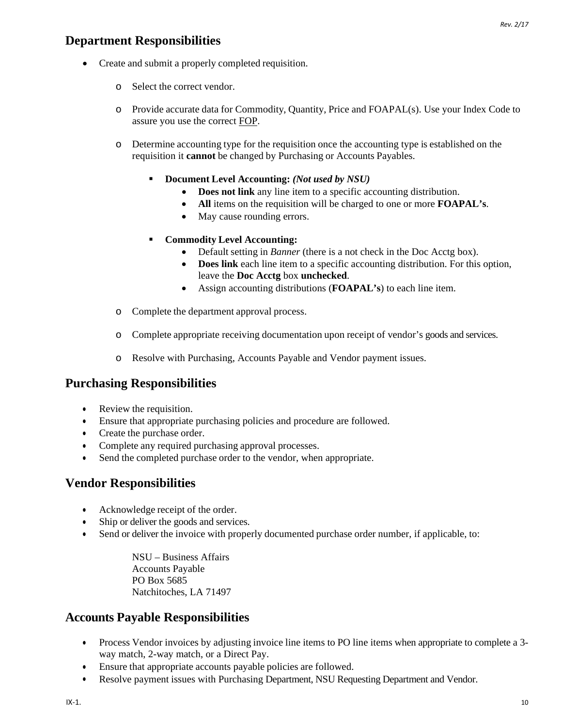### **Department Responsibilities**

- Create and submit a properly completed requisition.
	- o Select the correct vendor.
	- o Provide accurate data for Commodity, Quantity, Price and FOAPAL(s). Use your Index Code to assure you use the correct FOP.
	- o Determine accounting type for the requisition once the accounting type is established on the requisition it **cannot** be changed by Purchasing or Accounts Payables.
		- **Document Level Accounting:** *(Not used by NSU)*
			- **Does not link** any line item to a specific accounting distribution.
			- **All** items on the requisition will be charged to one or more **FOAPAL's**.
			- May cause rounding errors.
		- **Commodity Level Accounting:**
			- Default setting in *Banner* (there is a not check in the Doc Acctg box).
			- **Does link** each line item to a specific accounting distribution. For this option, leave the **Doc Acctg** box **unchecked**.
			- Assign accounting distributions (**FOAPAL's**) to each line item.
	- o Complete the department approval process.
	- o Complete appropriate receiving documentation upon receipt of vendor's goods and services.
	- o Resolve with Purchasing, Accounts Payable and Vendor payment issues.

## **Purchasing Responsibilities**

- Review the requisition.
- Ensure that appropriate purchasing policies and procedure are followed.
- Create the purchase order.
- Complete any required purchasing approval processes.
- Send the completed purchase order to the vendor, when appropriate.

### **Vendor Responsibilities**

- Acknowledge receipt of the order.
- Ship or deliver the goods and services.
- Send or deliver the invoice with properly documented purchase order number, if applicable, to:

NSU – Business Affairs Accounts Payable PO Box 5685 Natchitoches, LA 71497

## **Accounts Payable Responsibilities**

- Process Vendor invoices by adjusting invoice line items to PO line items when appropriate to complete a 3way match, 2-way match, or a Direct Pay.
- Ensure that appropriate accounts payable policies are followed.
- Resolve payment issues with Purchasing Department, NSU Requesting Department and Vendor.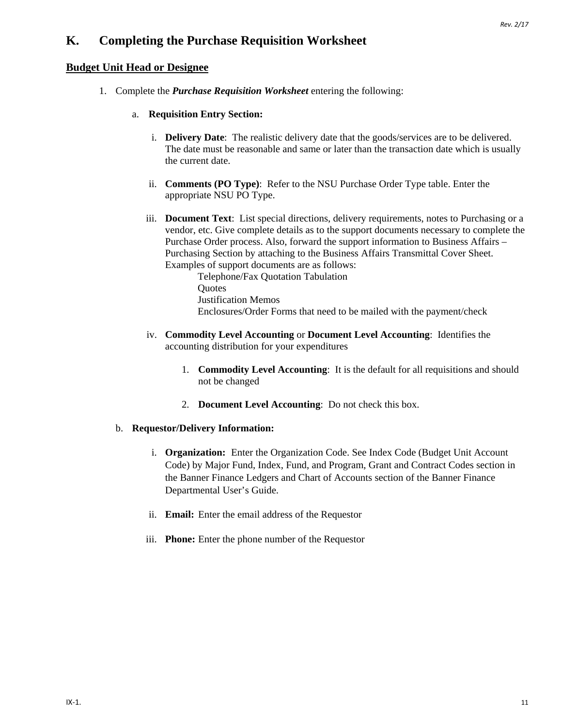### **K. Completing the Purchase Requisition Worksheet**

#### **Budget Unit Head or Designee**

- 1. Complete the *Purchase Requisition Worksheet* entering the following:
	- a. **Requisition Entry Section:**
		- i. **Delivery Date**: The realistic delivery date that the goods/services are to be delivered. The date must be reasonable and same or later than the transaction date which is usually the current date.
		- ii. **Comments (PO Type)**: Refer to the NSU Purchase Order Type table. Enter the appropriate NSU PO Type.
		- iii. **Document Text**: List special directions, delivery requirements, notes to Purchasing or a vendor, etc. Give complete details as to the support documents necessary to complete the Purchase Order process. Also, forward the support information to Business Affairs – Purchasing Section by attaching to the Business Affairs Transmittal Cover Sheet. Examples of support documents are as follows:

Telephone/Fax Quotation Tabulation **Ouotes** Justification Memos Enclosures/Order Forms that need to be mailed with the payment/check

- iv. **Commodity Level Accounting** or **Document Level Accounting**: Identifies the accounting distribution for your expenditures
	- 1. **Commodity Level Accounting**: It is the default for all requisitions and should not be changed
	- 2. **Document Level Accounting**: Do not check this box.

#### b. **Requestor/Delivery Information:**

- i. **Organization:** Enter the Organization Code. See Index Code (Budget Unit Account Code) by Major Fund, Index, Fund, and Program, Grant and Contract Codes section in the Banner Finance Ledgers and Chart of Accounts section of the Banner Finance Departmental User's Guide.
- ii. **Email:** Enter the email address of the Requestor
- iii. **Phone:** Enter the phone number of the Requestor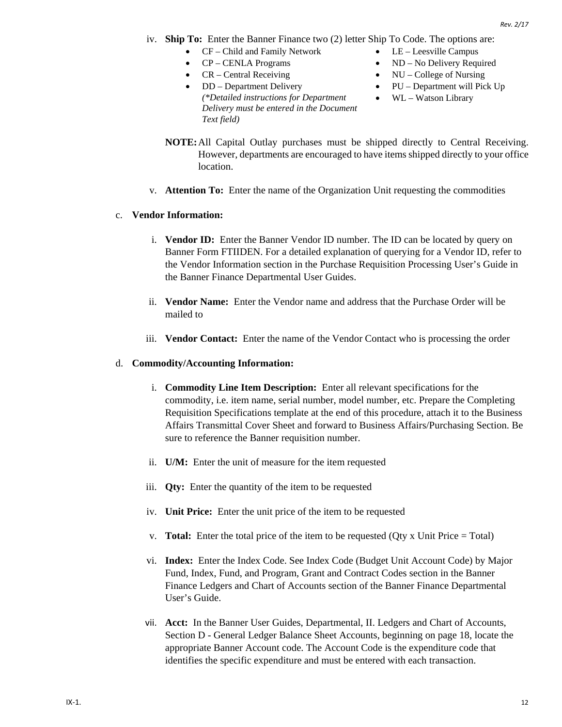- iv. **Ship To:** Enter the Banner Finance two (2) letter Ship To Code. The options are:
	- CF Child and Family Network LE Leesville Campus
	-
	- CR Central Receiving NU College of Nursing
	- DD Department Delivery *(\*Detailed instructions for Department Delivery must be entered in the Document Text field)*
	- CP CENLA Programs ND No Delivery Required
		-
		- PU Department will Pick Up
		-
		- WL Watson Library
	- **NOTE:**All Capital Outlay purchases must be shipped directly to Central Receiving. However, departments are encouraged to have items shipped directly to your office location.
- v. **Attention To:** Enter the name of the Organization Unit requesting the commodities

#### c. **Vendor Information:**

- i. **Vendor ID:** Enter the Banner Vendor ID number. The ID can be located by query on Banner Form FTIIDEN. For a detailed explanation of querying for a Vendor ID, refer to the Vendor Information section in the Purchase Requisition Processing User's Guide in the Banner Finance Departmental User Guides.
- ii. **Vendor Name:** Enter the Vendor name and address that the Purchase Order will be mailed to
- iii. **Vendor Contact:** Enter the name of the Vendor Contact who is processing the order

#### d. **Commodity/Accounting Information:**

- i. **Commodity Line Item Description:** Enter all relevant specifications for the commodity, i.e. item name, serial number, model number, etc. Prepare the Completing Requisition Specifications template at the end of this procedure, attach it to the Business Affairs Transmittal Cover Sheet and forward to Business Affairs/Purchasing Section. Be sure to reference the Banner requisition number.
- ii. **U/M:** Enter the unit of measure for the item requested
- iii. **Qty:** Enter the quantity of the item to be requested
- iv. **Unit Price:** Enter the unit price of the item to be requested
- v. **Total:** Enter the total price of the item to be requested (Qty x Unit Price = Total)
- vi. **Index:** Enter the Index Code. See Index Code (Budget Unit Account Code) by Major Fund, Index, Fund, and Program, Grant and Contract Codes section in the Banner Finance Ledgers and Chart of Accounts section of the Banner Finance Departmental User's Guide.
- vii. **Acct:** In the Banner User Guides, Departmental, II. Ledgers and Chart of Accounts, Section D - General Ledger Balance Sheet Accounts, beginning on page 18, locate the appropriate Banner Account code. The Account Code is the expenditure code that identifies the specific expenditure and must be entered with each transaction.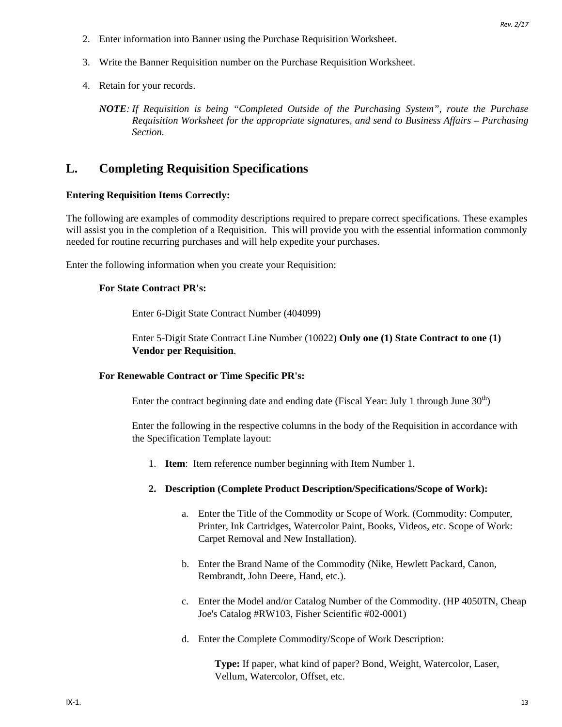- 2. Enter information into Banner using the Purchase Requisition Worksheet.
- 3. Write the Banner Requisition number on the Purchase Requisition Worksheet.
- 4. Retain for your records.

*NOTE: If Requisition is being "Completed Outside of the Purchasing System", route the Purchase Requisition Worksheet for the appropriate signatures, and send to Business Affairs – Purchasing Section.*

### **L. Completing Requisition Specifications**

#### **Entering Requisition Items Correctly:**

The following are examples of commodity descriptions required to prepare correct specifications. These examples will assist you in the completion of a Requisition. This will provide you with the essential information commonly needed for routine recurring purchases and will help expedite your purchases.

Enter the following information when you create your Requisition:

#### **For State Contract PR's:**

Enter 6-Digit State Contract Number (404099)

Enter 5-Digit State Contract Line Number (10022) **Only one (1) State Contract to one (1) Vendor per Requisition**.

#### **For Renewable Contract or Time Specific PR's:**

Enter the contract beginning date and ending date (Fiscal Year: July 1 through June  $30<sup>th</sup>$ )

Enter the following in the respective columns in the body of the Requisition in accordance with the Specification Template layout:

- 1. **Item**: Item reference number beginning with Item Number 1.
- **2. Description (Complete Product Description/Specifications/Scope of Work):**
	- a. Enter the Title of the Commodity or Scope of Work. (Commodity: Computer, Printer, Ink Cartridges, Watercolor Paint, Books, Videos, etc. Scope of Work: Carpet Removal and New Installation).
	- b. Enter the Brand Name of the Commodity (Nike, Hewlett Packard, Canon, Rembrandt, John Deere, Hand, etc.).
	- c. Enter the Model and/or Catalog Number of the Commodity. (HP 4050TN, Cheap Joe's Catalog #RW103, Fisher Scientific #02-0001)
	- d. Enter the Complete Commodity/Scope of Work Description:

**Type:** If paper, what kind of paper? Bond, Weight, Watercolor, Laser, Vellum, Watercolor, Offset, etc.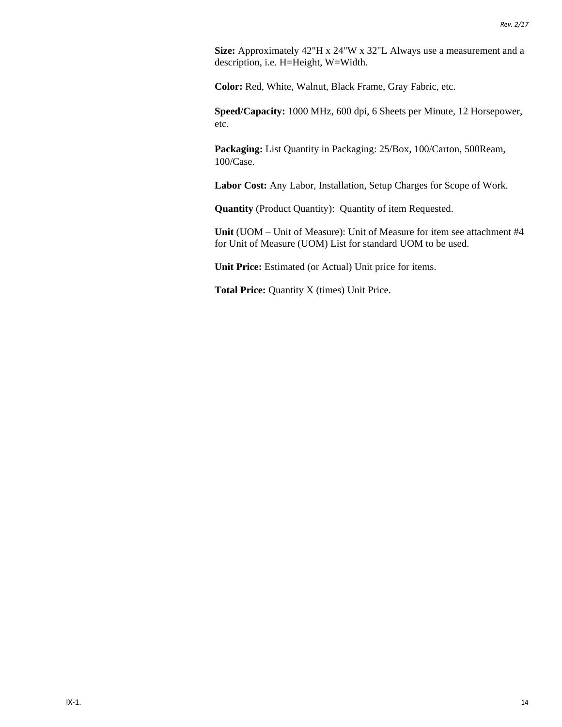**Size:** Approximately 42"H x 24"W x 32"L Always use a measurement and a description, i.e. H=Height, W=Width.

**Color:** Red, White, Walnut, Black Frame, Gray Fabric, etc.

**Speed/Capacity:** 1000 MHz, 600 dpi, 6 Sheets per Minute, 12 Horsepower, etc.

**Packaging:** List Quantity in Packaging: 25/Box, 100/Carton, 500Ream, 100/Case.

**Labor Cost:** Any Labor, Installation, Setup Charges for Scope of Work.

**Quantity** (Product Quantity): Quantity of item Requested.

**Unit** (UOM – Unit of Measure): Unit of Measure for item see attachment #4 for Unit of Measure (UOM) List for standard UOM to be used.

**Unit Price:** Estimated (or Actual) Unit price for items.

Total Price: Quantity X (times) Unit Price.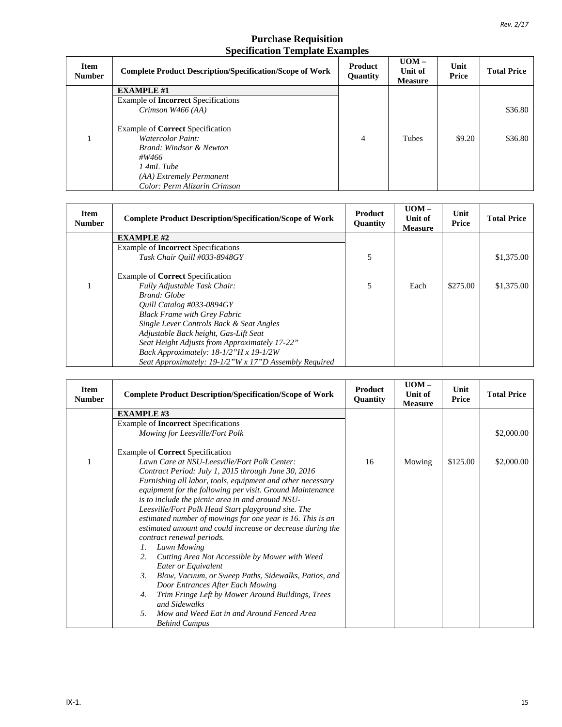#### **Purchase Requisition Specification Template Examples**

| <b>Item</b><br><b>Number</b> | <b>Complete Product Description/Specification/Scope of Work</b>                                                                                                                    | Product<br><b>Quantity</b> | $UOM -$<br>Unit of<br><b>Measure</b> | Unit<br>Price | <b>Total Price</b> |
|------------------------------|------------------------------------------------------------------------------------------------------------------------------------------------------------------------------------|----------------------------|--------------------------------------|---------------|--------------------|
|                              | <b>EXAMPLE #1</b>                                                                                                                                                                  |                            |                                      |               |                    |
|                              | Example of <b>Incorrect</b> Specifications                                                                                                                                         |                            |                                      |               |                    |
|                              | Crimson W466 (AA)                                                                                                                                                                  |                            |                                      |               | \$36.80            |
|                              | Example of <b>Correct</b> Specification<br><b>Watercolor Paint:</b><br>Brand: Windsor & Newton<br>#W466<br>$14mL$ Tube<br>(AA) Extremely Permanent<br>Color: Perm Alizarin Crimson | $\overline{4}$             | <b>Tubes</b>                         | \$9.20        | \$36.80            |

| <b>Item</b><br><b>Number</b> | <b>Complete Product Description/Specification/Scope of Work</b> | <b>Product</b><br>Quantity | $UOM -$<br>Unit of<br><b>Measure</b> | Unit<br><b>Price</b> | <b>Total Price</b> |
|------------------------------|-----------------------------------------------------------------|----------------------------|--------------------------------------|----------------------|--------------------|
|                              | <b>EXAMPLE #2</b>                                               |                            |                                      |                      |                    |
|                              | Example of <b>Incorrect</b> Specifications                      |                            |                                      |                      |                    |
|                              | Task Chair Ouill #033-8948GY                                    | 5                          |                                      |                      | \$1,375.00         |
|                              | Example of <b>Correct</b> Specification                         |                            |                                      |                      |                    |
|                              | Fully Adjustable Task Chair:                                    | 5                          | Each                                 | \$275.00             | \$1,375.00         |
|                              | Brand: Globe                                                    |                            |                                      |                      |                    |
|                              | Quill Catalog #033-0894GY                                       |                            |                                      |                      |                    |
|                              | <b>Black Frame with Grey Fabric</b>                             |                            |                                      |                      |                    |
|                              | Single Lever Controls Back & Seat Angles                        |                            |                                      |                      |                    |
|                              | Adjustable Back height, Gas-Lift Seat                           |                            |                                      |                      |                    |
|                              | Seat Height Adjusts from Approximately 17-22"                   |                            |                                      |                      |                    |
|                              | Back Approximately: $18-1/2$ "H x $19-1/2W$                     |                            |                                      |                      |                    |
|                              | Seat Approximately: 19-1/2"W x 17"D Assembly Required           |                            |                                      |                      |                    |

| <b>Item</b><br><b>Number</b> | <b>Complete Product Description/Specification/Scope of Work</b>          | <b>Product</b><br>Quantity | $UOM -$<br>Unit of<br><b>Measure</b> | Unit<br>Price | <b>Total Price</b> |
|------------------------------|--------------------------------------------------------------------------|----------------------------|--------------------------------------|---------------|--------------------|
|                              | <b>EXAMPLE #3</b>                                                        |                            |                                      |               |                    |
|                              | Example of <b>Incorrect</b> Specifications                               |                            |                                      |               |                    |
|                              | Mowing for Leesville/Fort Polk                                           |                            |                                      |               | \$2,000.00         |
|                              | Example of Correct Specification                                         |                            |                                      |               |                    |
|                              | Lawn Care at NSU-Leesville/Fort Polk Center:                             | 16                         | Mowing                               | \$125.00      | \$2,000.00         |
|                              | Contract Period: July 1, 2015 through June 30, 2016                      |                            |                                      |               |                    |
|                              | Furnishing all labor, tools, equipment and other necessary               |                            |                                      |               |                    |
|                              | equipment for the following per visit. Ground Maintenance                |                            |                                      |               |                    |
|                              | is to include the picnic area in and around NSU-                         |                            |                                      |               |                    |
|                              | Leesville/Fort Polk Head Start playground site. The                      |                            |                                      |               |                    |
|                              | estimated number of mowings for one year is 16. This is an               |                            |                                      |               |                    |
|                              | estimated amount and could increase or decrease during the               |                            |                                      |               |                    |
|                              | contract renewal periods.                                                |                            |                                      |               |                    |
|                              | Lawn Mowing<br>$l_{\cdot}$                                               |                            |                                      |               |                    |
|                              | 2.<br>Cutting Area Not Accessible by Mower with Weed                     |                            |                                      |               |                    |
|                              | Eater or Equivalent                                                      |                            |                                      |               |                    |
|                              | $\mathfrak{Z}$ .<br>Blow, Vacuum, or Sweep Paths, Sidewalks, Patios, and |                            |                                      |               |                    |
|                              | Door Entrances After Each Mowing                                         |                            |                                      |               |                    |
|                              | Trim Fringe Left by Mower Around Buildings, Trees<br>4.                  |                            |                                      |               |                    |
|                              | and Sidewalks                                                            |                            |                                      |               |                    |
|                              | Mow and Weed Eat in and Around Fenced Area<br>5.                         |                            |                                      |               |                    |
|                              | <b>Behind Campus</b>                                                     |                            |                                      |               |                    |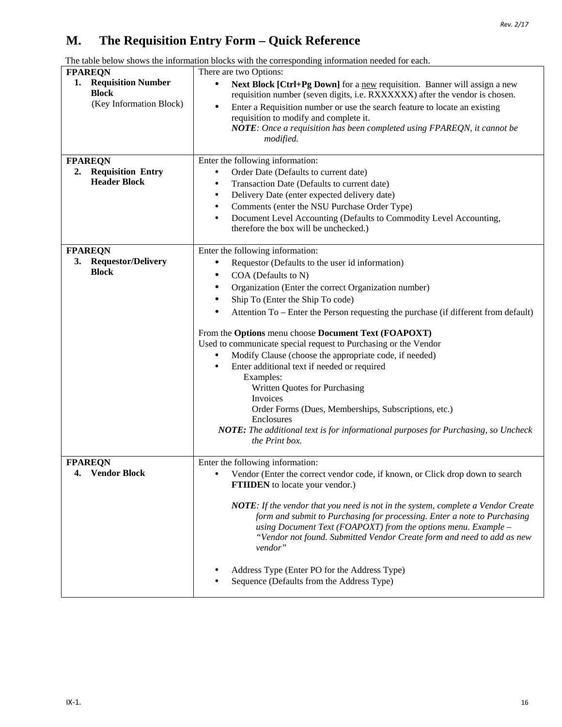## **M. The Requisition Entry Form – Quick Reference**

|                                                                            | The table below shows the information blocks with the corresponding information needed for each.                                                                                                                                                                                                                                                                                                   |
|----------------------------------------------------------------------------|----------------------------------------------------------------------------------------------------------------------------------------------------------------------------------------------------------------------------------------------------------------------------------------------------------------------------------------------------------------------------------------------------|
| <b>FPAREQN</b>                                                             | There are two Options:                                                                                                                                                                                                                                                                                                                                                                             |
| <b>Requisition Number</b><br>1.<br><b>Block</b><br>(Key Information Block) | Next Block [Ctrl+Pg Down] for a new requisition. Banner will assign a new<br>$\bullet$<br>requisition number (seven digits, i.e. RXXXXXX) after the vendor is chosen.<br>Enter a Requisition number or use the search feature to locate an existing<br>$\bullet$<br>requisition to modify and complete it.<br>NOTE: Once a requisition has been completed using FPAREQN, it cannot be<br>modified. |
| <b>FPAREQN</b>                                                             | Enter the following information:                                                                                                                                                                                                                                                                                                                                                                   |
| <b>Requisition Entry</b><br>2.                                             | Order Date (Defaults to current date)<br>$\bullet$                                                                                                                                                                                                                                                                                                                                                 |
| <b>Header Block</b>                                                        | Transaction Date (Defaults to current date)<br>$\bullet$                                                                                                                                                                                                                                                                                                                                           |
|                                                                            | Delivery Date (enter expected delivery date)<br>٠                                                                                                                                                                                                                                                                                                                                                  |
|                                                                            | Comments (enter the NSU Purchase Order Type)<br>$\bullet$                                                                                                                                                                                                                                                                                                                                          |
|                                                                            | Document Level Accounting (Defaults to Commodity Level Accounting,<br>$\bullet$<br>therefore the box will be unchecked.)                                                                                                                                                                                                                                                                           |
|                                                                            |                                                                                                                                                                                                                                                                                                                                                                                                    |
| <b>FPAREON</b>                                                             | Enter the following information:                                                                                                                                                                                                                                                                                                                                                                   |
| <b>Requestor/Delivery</b><br>3.                                            | Requestor (Defaults to the user id information)                                                                                                                                                                                                                                                                                                                                                    |
| <b>Block</b>                                                               | COA (Defaults to N)<br>$\bullet$                                                                                                                                                                                                                                                                                                                                                                   |
|                                                                            | Organization (Enter the correct Organization number)<br>٠                                                                                                                                                                                                                                                                                                                                          |
|                                                                            | Ship To (Enter the Ship To code)<br>$\bullet$                                                                                                                                                                                                                                                                                                                                                      |
|                                                                            | $\bullet$<br>Attention To – Enter the Person requesting the purchase (if different from default)                                                                                                                                                                                                                                                                                                   |
|                                                                            | From the Options menu choose Document Text (FOAPOXT)                                                                                                                                                                                                                                                                                                                                               |
|                                                                            | Used to communicate special request to Purchasing or the Vendor                                                                                                                                                                                                                                                                                                                                    |
|                                                                            | Modify Clause (choose the appropriate code, if needed)<br>$\bullet$                                                                                                                                                                                                                                                                                                                                |
|                                                                            | Enter additional text if needed or required<br>$\bullet$                                                                                                                                                                                                                                                                                                                                           |
|                                                                            | Examples:                                                                                                                                                                                                                                                                                                                                                                                          |
|                                                                            | Written Quotes for Purchasing                                                                                                                                                                                                                                                                                                                                                                      |
|                                                                            | Invoices<br>Order Forms (Dues, Memberships, Subscriptions, etc.)                                                                                                                                                                                                                                                                                                                                   |
|                                                                            | Enclosures                                                                                                                                                                                                                                                                                                                                                                                         |
|                                                                            | NOTE: The additional text is for informational purposes for Purchasing, so Uncheck                                                                                                                                                                                                                                                                                                                 |
|                                                                            | the Print box.                                                                                                                                                                                                                                                                                                                                                                                     |
| <b>FPAREQN</b>                                                             | Enter the following information:                                                                                                                                                                                                                                                                                                                                                                   |
| <b>Vendor Block</b><br>4.                                                  | Vendor (Enter the correct vendor code, if known, or Click drop down to search<br>$\bullet$                                                                                                                                                                                                                                                                                                         |
|                                                                            | <b>FTIIDEN</b> to locate your vendor.)                                                                                                                                                                                                                                                                                                                                                             |
|                                                                            | <b>NOTE:</b> If the vendor that you need is not in the system, complete a Vendor Create<br>form and submit to Purchasing for processing. Enter a note to Purchasing<br>using Document Text (FOAPOXT) from the options menu. Example $-$<br>"Vendor not found. Submitted Vendor Create form and need to add as new                                                                                  |

*vendor"*

• Address Type (Enter PO for the Address Type) • Sequence (Defaults from the Address Type)